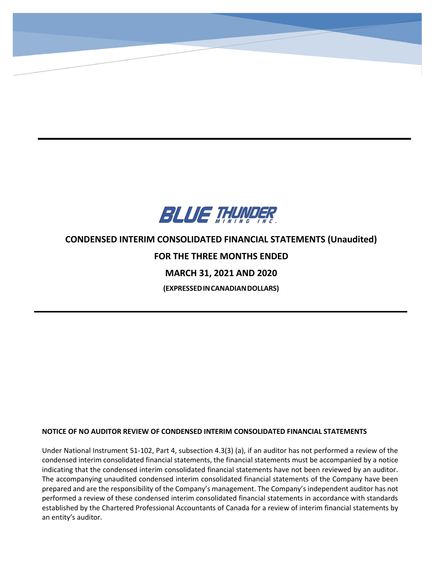

**CONDENSED INTERIM CONSOLIDATED STATEMENTS OF FINANCIAL POSITION (Unaudited)**

**(Expressed in Canadian Dollars)**

# **CONDENSED INTERIM CONSOLIDATED FINANCIAL STATEMENTS (Unaudited) FOR THE THREE MONTHS ENDED MARCH 31, 2021 AND 2020 (EXPRESSEDINCANADIANDOLLARS)**

# **NOTICE OF NO AUDITOR REVIEW OF CONDENSED INTERIM CONSOLIDATED FINANCIAL STATEMENTS**

Under National Instrument 51-102, Part 4, subsection 4.3(3) (a), if an auditor has not performed a review of the condensed interim consolidated financial statements, the financial statements must be accompanied by a notice indicating that the condensed interim consolidated financial statements have not been reviewed by an auditor. The accompanying unaudited condensed interim consolidated financial statements of the Company have been prepared and are the responsibility of the Company's management. The Company's independent auditor has not performed a review of these condensed interim consolidated financial statements in accordance with standards established by the Chartered Professional Accountants of Canada for a review of interim financial statements by an entity's auditor.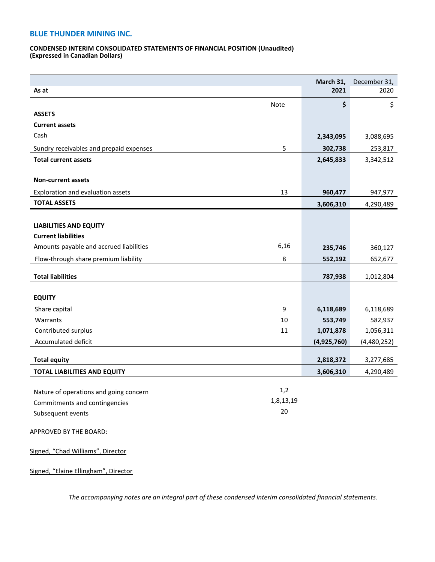#### **CONDENSED INTERIM CONSOLIDATED STATEMENTS OF FINANCIAL POSITION (Unaudited) (Expressed in Canadian Dollars)**

|                                         |             | March 31,   | December 31, |
|-----------------------------------------|-------------|-------------|--------------|
| As at                                   |             | 2021        | 2020         |
|                                         | <b>Note</b> | \$          | \$           |
| <b>ASSETS</b>                           |             |             |              |
| <b>Current assets</b>                   |             |             |              |
| Cash                                    |             | 2,343,095   | 3,088,695    |
| Sundry receivables and prepaid expenses | 5           | 302,738     | 253,817      |
| <b>Total current assets</b>             |             | 2,645,833   | 3,342,512    |
|                                         |             |             |              |
| <b>Non-current assets</b>               |             |             |              |
| Exploration and evaluation assets       | 13          | 960,477     | 947,977      |
| <b>TOTAL ASSETS</b>                     |             | 3,606,310   | 4,290,489    |
|                                         |             |             |              |
| <b>LIABILITIES AND EQUITY</b>           |             |             |              |
| <b>Current liabilities</b>              |             |             |              |
| Amounts payable and accrued liabilities | 6,16        | 235,746     | 360,127      |
| Flow-through share premium liability    | 8           | 552,192     | 652,677      |
|                                         |             |             |              |
| <b>Total liabilities</b>                |             | 787,938     | 1,012,804    |
| <b>EQUITY</b>                           |             |             |              |
|                                         |             |             |              |
| Share capital                           | 9           | 6,118,689   | 6,118,689    |
| Warrants                                | 10          | 553,749     | 582,937      |
| Contributed surplus                     | 11          | 1,071,878   | 1,056,311    |
| Accumulated deficit                     |             | (4,925,760) | (4,480,252)  |
| <b>Total equity</b>                     |             | 2,818,372   | 3,277,685    |
| <b>TOTAL LIABILITIES AND EQUITY</b>     |             | 3,606,310   | 4,290,489    |
|                                         |             |             |              |
| Nature of operations and going concern  | 1,2         |             |              |
| Commitments and contingencies           | 1,8,13,19   |             |              |
| Subsequent events                       | 20          |             |              |
| APPROVED BY THE BOARD:                  |             |             |              |
| Signed, "Chad Williams", Director       |             |             |              |

Signed, "Elaine Ellingham", Director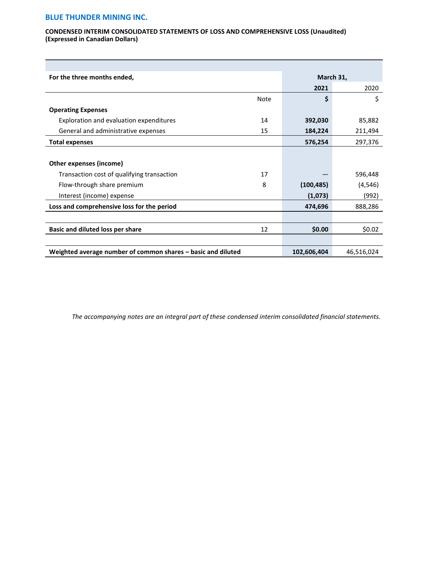#### **CONDENSED INTERIM CONSOLIDATED STATEMENTS OF LOSS AND COMPREHENSIVE LOSS (Unaudited) (Expressed in Canadian Dollars)**

| For the three months ended,                                  |      | March 31,   |            |
|--------------------------------------------------------------|------|-------------|------------|
|                                                              |      | 2021        | 2020       |
|                                                              | Note | \$          | \$         |
| <b>Operating Expenses</b>                                    |      |             |            |
| Exploration and evaluation expenditures                      | 14   | 392,030     | 85,882     |
| General and administrative expenses                          | 15   | 184,224     | 211,494    |
| <b>Total expenses</b>                                        |      | 576,254     | 297,376    |
|                                                              |      |             |            |
| Other expenses (income)                                      |      |             |            |
| Transaction cost of qualifying transaction                   | 17   |             | 596,448    |
| Flow-through share premium                                   | 8    | (100, 485)  | (4, 546)   |
| Interest (income) expense                                    |      | (1,073)     | (992)      |
| Loss and comprehensive loss for the period                   |      | 474,696     | 888,286    |
|                                                              |      |             |            |
| <b>Basic and diluted loss per share</b>                      | 12   | \$0.00      | \$0.02\$   |
|                                                              |      |             |            |
| Weighted average number of common shares - basic and diluted |      | 102,606,404 | 46,516,024 |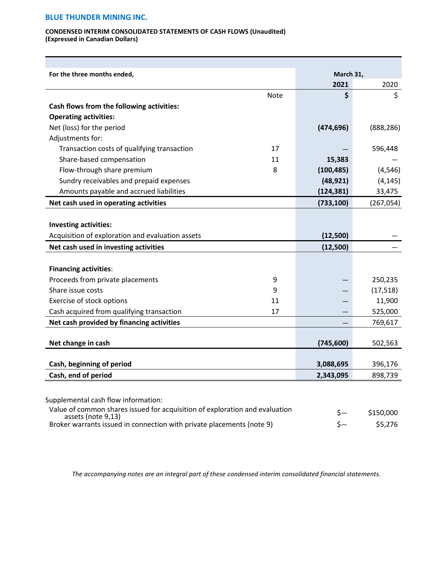#### **CONDENSED INTERIM CONSOLIDATED STATEMENTS OF CASH FLOWS (Unaudited) (Expressed in Canadian Dollars)**

| For the three months ended,                      |             | March 31,  |            |
|--------------------------------------------------|-------------|------------|------------|
|                                                  |             | 2021       | 2020       |
|                                                  | <b>Note</b> | \$         | \$         |
| Cash flows from the following activities:        |             |            |            |
| <b>Operating activities:</b>                     |             |            |            |
| Net (loss) for the period                        |             | (474, 696) | (888, 286) |
| Adjustments for:                                 |             |            |            |
| Transaction costs of qualifying transaction      | 17          |            | 596,448    |
| Share-based compensation                         | 11          | 15,383     |            |
| Flow-through share premium                       | 8           | (100, 485) | (4, 546)   |
| Sundry receivables and prepaid expenses          |             | (48, 921)  | (4, 145)   |
| Amounts payable and accrued liabilities          |             | (124, 381) | 33,475     |
| Net cash used in operating activities            |             | (733, 100) | (267, 054) |
|                                                  |             |            |            |
| Investing activities:                            |             |            |            |
| Acquisition of exploration and evaluation assets |             | (12,500)   |            |
| Net cash used in investing activities            |             | (12,500)   |            |
|                                                  |             |            |            |
| <b>Financing activities:</b>                     |             |            |            |
| Proceeds from private placements                 | 9           |            | 250,235    |
| Share issue costs                                | 9           |            | (17, 518)  |
| Exercise of stock options                        | 11          |            | 11,900     |
| Cash acquired from qualifying transaction        | 17          |            | 525,000    |
| Net cash provided by financing activities        |             |            | 769,617    |
|                                                  |             |            |            |
| Net change in cash                               |             | (745, 600) | 502,563    |
| Cash, beginning of period                        |             | 3,088,695  | 396,176    |
| Cash, end of period                              |             | 2,343,095  | 898,739    |
|                                                  |             |            |            |

| Value of common shares issued for acquisition of exploration and evaluation<br>assets (note 9,13) | \$150,000 |
|---------------------------------------------------------------------------------------------------|-----------|
| Broker warrants issued in connection with private placements (note 9)                             | \$5,276   |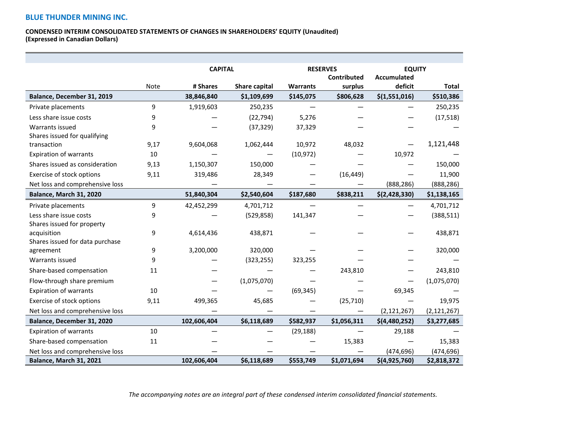▀

#### **CONDENSED INTERIM CONSOLIDATED STATEMENTS OF CHANGES IN SHAREHOLDERS' EQUITY (Unaudited) (Expressed in Canadian Dollars)**

|                                 |      | <b>CAPITAL</b> |               | <b>RESERVES</b> |             | <b>EQUITY</b>      |               |
|---------------------------------|------|----------------|---------------|-----------------|-------------|--------------------|---------------|
|                                 |      |                |               |                 | Contributed | <b>Accumulated</b> |               |
|                                 | Note | # Shares       | Share capital | <b>Warrants</b> | surplus     | deficit            | <b>Total</b>  |
| Balance, December 31, 2019      |      | 38,846,840     | \$1,109,699   | \$145,075       | \$806,628   | \$(1,551,016)      | \$510,386     |
| Private placements              | 9    | 1,919,603      | 250,235       |                 |             |                    | 250,235       |
| Less share issue costs          | 9    |                | (22, 794)     | 5,276           |             |                    | (17, 518)     |
| Warrants issued                 | 9    |                | (37, 329)     | 37,329          |             |                    |               |
| Shares issued for qualifying    |      |                |               |                 |             |                    |               |
| transaction                     | 9,17 | 9,604,068      | 1,062,444     | 10,972          | 48,032      |                    | 1,121,448     |
| Expiration of warrants          | 10   |                |               | (10, 972)       |             | 10,972             |               |
| Shares issued as consideration  | 9,13 | 1,150,307      | 150,000       |                 |             |                    | 150,000       |
| Exercise of stock options       | 9,11 | 319,486        | 28,349        |                 | (16, 449)   |                    | 11,900        |
| Net loss and comprehensive loss |      |                |               |                 |             | (888, 286)         | (888, 286)    |
| Balance, March 31, 2020         |      | 51,840,304     | \$2,540,604   | \$187,680       | \$838,211   | \$(2, 428, 330)    | \$1,138,165   |
| Private placements              | 9    | 42,452,299     | 4,701,712     |                 |             |                    | 4,701,712     |
| Less share issue costs          | 9    |                | (529, 858)    | 141,347         |             |                    | (388, 511)    |
| Shares issued for property      |      |                |               |                 |             |                    |               |
| acquisition                     | 9    | 4,614,436      | 438,871       |                 |             |                    | 438,871       |
| Shares issued for data purchase |      |                |               |                 |             |                    |               |
| agreement                       | 9    | 3,200,000      | 320,000       |                 |             |                    | 320,000       |
| Warrants issued                 | 9    |                | (323, 255)    | 323,255         |             |                    |               |
| Share-based compensation        | 11   |                |               |                 | 243,810     |                    | 243,810       |
| Flow-through share premium      |      |                | (1,075,070)   |                 |             |                    | (1,075,070)   |
| <b>Expiration of warrants</b>   | 10   |                |               | (69, 345)       |             | 69,345             |               |
| Exercise of stock options       | 9,11 | 499,365        | 45,685        |                 | (25, 710)   |                    | 19,975        |
| Net loss and comprehensive loss |      |                |               |                 |             | (2, 121, 267)      | (2, 121, 267) |
| Balance, December 31, 2020      |      | 102,606,404    | \$6,118,689   | \$582,937       | \$1,056,311 | \$(4,480,252)      | \$3,277,685   |
| <b>Expiration of warrants</b>   | 10   |                |               | (29, 188)       |             | 29,188             |               |
| Share-based compensation        | 11   |                |               |                 | 15,383      |                    | 15,383        |
| Net loss and comprehensive loss |      |                |               |                 |             | (474, 696)         | (474, 696)    |
| <b>Balance, March 31, 2021</b>  |      | 102,606,404    | \$6,118,689   | \$553,749       | \$1,071,694 | \$(4,925,760)      | \$2,818,372   |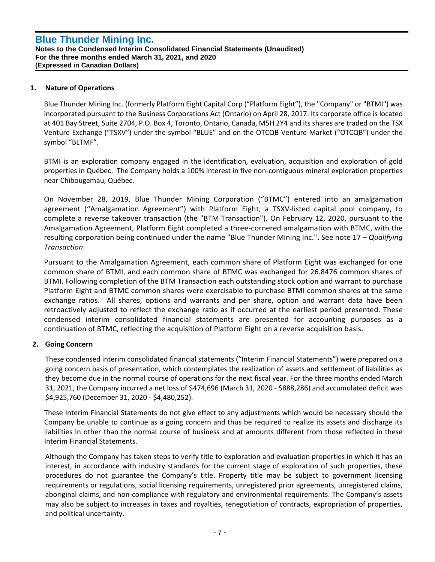# **1. Nature of Operations**

Blue Thunder Mining Inc. (formerly Platform Eight Capital Corp ("Platform Eight"), the "Company" or "BTMI") was incorporated pursuant to the Business Corporations Act (Ontario) on April 28, 2017. Its corporate office is located at 401 Bay Street, Suite 2704, P.O. Box 4, Toronto, Ontario, Canada, M5H 2Y4 and its shares are traded on the TSX Venture Exchange ("TSXV") under the symbol "BLUE" and on the OTCQB Venture Market ("OTCQB") under the symbol "BLTMF".

BTMI is an exploration company engaged in the identification, evaluation, acquisition and exploration of gold properties in Québec. The Company holds a 100% interest in five non-contiguous mineral exploration properties near Chibougamau, Québec.

On November 28, 2019, Blue Thunder Mining Corporation ("BTMC") entered into an amalgamation agreement ("Amalgamation Agreement") with Platform Eight, a TSXV-listed capital pool company, to complete a reverse takeover transaction (the "BTM Transaction"). On February 12, 2020, pursuant to the Amalgamation Agreement, Platform Eight completed a three-cornered amalgamation with BTMC, with the resulting corporation being continued under the name "Blue Thunder Mining Inc.". See note 17 – *Qualifying Transaction*.

Pursuant to the Amalgamation Agreement, each common share of Platform Eight was exchanged for one common share of BTMI, and each common share of BTMC was exchanged for 26.8476 common shares of BTMI. Following completion of the BTM Transaction each outstanding stock option and warrant to purchase Platform Eight and BTMC common shares were exercisable to purchase BTMI common shares at the same exchange ratios. All shares, options and warrants and per share, option and warrant data have been retroactively adjusted to reflect the exchange ratio as if occurred at the earliest period presented. These condensed interim consolidated financial statements are presented for accounting purposes as a continuation of BTMC, reflecting the acquisition of Platform Eight on a reverse acquisition basis.

# **2. Going Concern**

These condensed interim consolidated financial statements ("Interim Financial Statements") were prepared on a going concern basis of presentation, which contemplates the realization of assets and settlement of liabilities as they become due in the normal course of operations for the next fiscal year. For the three months ended March 31, 2021, the Company incurred a net loss of \$474,696 (March 31, 2020 - \$888,286) and accumulated deficit was \$4,925,760 (December 31, 2020 - \$4,480,252).

These Interim Financial Statements do not give effect to any adjustments which would be necessary should the Company be unable to continue as a going concern and thus be required to realize its assets and discharge its liabilities in other than the normal course of business and at amounts different from those reflected in these Interim Financial Statements.

Although the Company has taken steps to verify title to exploration and evaluation properties in which it has an interest, in accordance with industry standards for the current stage of exploration of such properties, these procedures do not guarantee the Company's title. Property title may be subject to government licensing requirements or regulations, social licensing requirements, unregistered prior agreements, unregistered claims, aboriginal claims, and non-compliance with regulatory and environmental requirements. The Company's assets may also be subject to increases in taxes and royalties, renegotiation of contracts, expropriation of properties, and political uncertainty.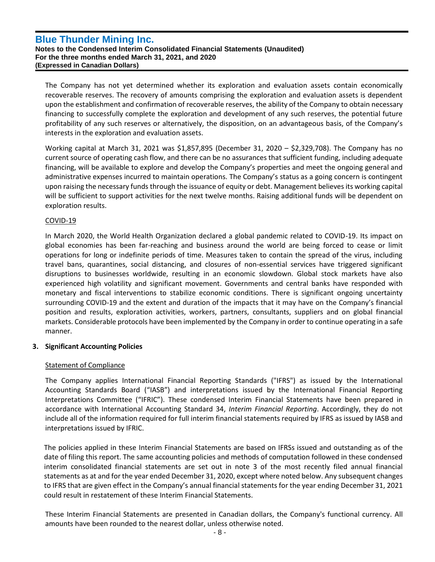**Notes to the Condensed Interim Consolidated Financial Statements (Unaudited) For the three months ended March 31, 2021, and 2020 (Expressed in Canadian Dollars)**

The Company has not yet determined whether its exploration and evaluation assets contain economically recoverable reserves. The recovery of amounts comprising the exploration and evaluation assets is dependent upon the establishment and confirmation of recoverable reserves, the ability of the Company to obtain necessary financing to successfully complete the exploration and development of any such reserves, the potential future profitability of any such reserves or alternatively, the disposition, on an advantageous basis, of the Company's interests in the exploration and evaluation assets.

Working capital at March 31, 2021 was \$1,857,895 (December 31, 2020 – \$2,329,708). The Company has no current source of operating cash flow, and there can be no assurances that sufficient funding, including adequate financing, will be available to explore and develop the Company's properties and meet the ongoing general and administrative expenses incurred to maintain operations. The Company's status as a going concern is contingent upon raising the necessary funds through the issuance of equity or debt. Management believes its working capital will be sufficient to support activities for the next twelve months. Raising additional funds will be dependent on exploration results.

# COVID-19

In March 2020, the World Health Organization declared a global pandemic related to COVID-19. Its impact on global economies has been far-reaching and business around the world are being forced to cease or limit operations for long or indefinite periods of time. Measures taken to contain the spread of the virus, including travel bans, quarantines, social distancing, and closures of non-essential services have triggered significant disruptions to businesses worldwide, resulting in an economic slowdown. Global stock markets have also experienced high volatility and significant movement. Governments and central banks have responded with monetary and fiscal interventions to stabilize economic conditions. There is significant ongoing uncertainty surrounding COVID-19 and the extent and duration of the impacts that it may have on the Company's financial position and results, exploration activities, workers, partners, consultants, suppliers and on global financial markets. Considerable protocols have been implemented by the Company in order to continue operating in a safe manner.

# **3. Significant Accounting Policies**

# Statement of Compliance

The Company applies International Financial Reporting Standards ("IFRS") as issued by the International Accounting Standards Board ("IASB") and interpretations issued by the International Financial Reporting Interpretations Committee ("IFRIC"). These condensed Interim Financial Statements have been prepared in accordance with International Accounting Standard 34, *Interim Financial Reporting*. Accordingly, they do not include all of the information required for full interim financial statements required by IFRS as issued by IASB and interpretations issued by IFRIC.

The policies applied in these Interim Financial Statements are based on IFRSs issued and outstanding as of the date of filing this report. The same accounting policies and methods of computation followed in these condensed interim consolidated financial statements are set out in note 3 of the most recently filed annual financial statements as at and for the year ended December 31, 2020, except where noted below. Any subsequent changes to IFRS that are given effect in the Company's annual financial statements for the year ending December 31, 2021 could result in restatement of these Interim Financial Statements.

These Interim Financial Statements are presented in Canadian dollars, the Company's functional currency. All amounts have been rounded to the nearest dollar, unless otherwise noted.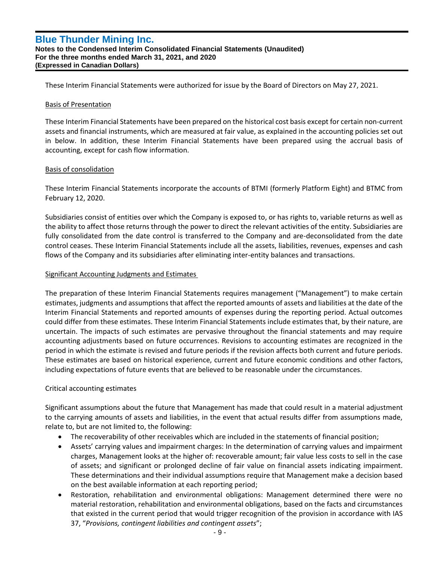These Interim Financial Statements were authorized for issue by the Board of Directors on May 27, 2021.

#### Basis of Presentation

These Interim Financial Statements have been prepared on the historical cost basis except for certain non-current assets and financial instruments, which are measured at fair value, as explained in the accounting policies set out in below. In addition, these Interim Financial Statements have been prepared using the accrual basis of accounting, except for cash flow information.

#### Basis of consolidation

These Interim Financial Statements incorporate the accounts of BTMI (formerly Platform Eight) and BTMC from February 12, 2020.

Subsidiaries consist of entities over which the Company is exposed to, or has rights to, variable returns as well as the ability to affect those returns through the power to direct the relevant activities of the entity. Subsidiaries are fully consolidated from the date control is transferred to the Company and are-deconsolidated from the date control ceases. These Interim Financial Statements include all the assets, liabilities, revenues, expenses and cash flows of the Company and its subsidiaries after eliminating inter-entity balances and transactions.

#### Significant Accounting Judgments and Estimates

The preparation of these Interim Financial Statements requires management ("Management") to make certain estimates, judgments and assumptions that affect the reported amounts of assets and liabilities at the date of the Interim Financial Statements and reported amounts of expenses during the reporting period. Actual outcomes could differ from these estimates. These Interim Financial Statements include estimates that, by their nature, are uncertain. The impacts of such estimates are pervasive throughout the financial statements and may require accounting adjustments based on future occurrences. Revisions to accounting estimates are recognized in the period in which the estimate is revised and future periods if the revision affects both current and future periods. These estimates are based on historical experience, current and future economic conditions and other factors, including expectations of future events that are believed to be reasonable under the circumstances.

# Critical accounting estimates

Significant assumptions about the future that Management has made that could result in a material adjustment to the carrying amounts of assets and liabilities, in the event that actual results differ from assumptions made, relate to, but are not limited to, the following:

- The recoverability of other receivables which are included in the statements of financial position;
- Assets' carrying values and impairment charges: In the determination of carrying values and impairment charges, Management looks at the higher of: recoverable amount; fair value less costs to sell in the case of assets; and significant or prolonged decline of fair value on financial assets indicating impairment. These determinations and their individual assumptions require that Management make a decision based on the best available information at each reporting period;
- Restoration, rehabilitation and environmental obligations: Management determined there were no material restoration, rehabilitation and environmental obligations, based on the facts and circumstances that existed in the current period that would trigger recognition of the provision in accordance with IAS 37, "*Provisions, contingent liabilities and contingent assets*";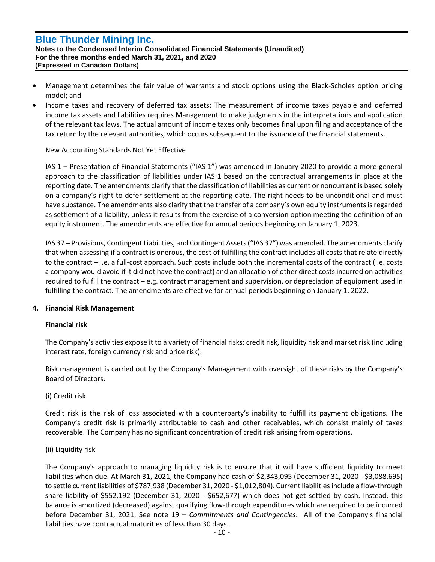**Notes to the Condensed Interim Consolidated Financial Statements (Unaudited) For the three months ended March 31, 2021, and 2020 (Expressed in Canadian Dollars)**

- Management determines the fair value of warrants and stock options using the Black-Scholes option pricing model; and
- Income taxes and recovery of deferred tax assets: The measurement of income taxes payable and deferred income tax assets and liabilities requires Management to make judgments in the interpretations and application of the relevant tax laws. The actual amount of income taxes only becomes final upon filing and acceptance of the tax return by the relevant authorities, which occurs subsequent to the issuance of the financial statements.

# New Accounting Standards Not Yet Effective

IAS 1 – Presentation of Financial Statements ("IAS 1") was amended in January 2020 to provide a more general approach to the classification of liabilities under IAS 1 based on the contractual arrangements in place at the reporting date. The amendments clarify that the classification of liabilities as current or noncurrent is based solely on a company's right to defer settlement at the reporting date. The right needs to be unconditional and must have substance. The amendments also clarify that the transfer of a company's own equity instruments is regarded as settlement of a liability, unless it results from the exercise of a conversion option meeting the definition of an equity instrument. The amendments are effective for annual periods beginning on January 1, 2023.

IAS 37 – Provisions, Contingent Liabilities, and Contingent Assets ("IAS 37") was amended. The amendments clarify that when assessing if a contract is onerous, the cost of fulfilling the contract includes all costs that relate directly to the contract – i.e. a full-cost approach. Such costs include both the incremental costs of the contract (i.e. costs a company would avoid if it did not have the contract) and an allocation of other direct costs incurred on activities required to fulfill the contract – e.g. contract management and supervision, or depreciation of equipment used in fulfilling the contract. The amendments are effective for annual periods beginning on January 1, 2022.

# **4. Financial Risk Management**

# **Financial risk**

The Company's activities expose it to a variety of financial risks: credit risk, liquidity risk and market risk (including interest rate, foreign currency risk and price risk).

Risk management is carried out by the Company's Management with oversight of these risks by the Company's Board of Directors.

# (i) Credit risk

Credit risk is the risk of loss associated with a counterparty's inability to fulfill its payment obligations. The Company's credit risk is primarily attributable to cash and other receivables, which consist mainly of taxes recoverable. The Company has no significant concentration of credit risk arising from operations.

# (ii) Liquidity risk

The Company's approach to managing liquidity risk is to ensure that it will have sufficient liquidity to meet liabilities when due. At March 31, 2021, the Company had cash of \$2,343,095 (December 31, 2020 - \$3,088,695) to settle current liabilities of \$787,938 (December 31, 2020 - \$1,012,804). Current liabilities include a flow-through share liability of \$552,192 (December 31, 2020 - \$652,677) which does not get settled by cash. Instead, this balance is amortized (decreased) against qualifying flow-through expenditures which are required to be incurred before December 31, 2021. See note 19 – *Commitments and Contingencies*. All of the Company's financial liabilities have contractual maturities of less than 30 days.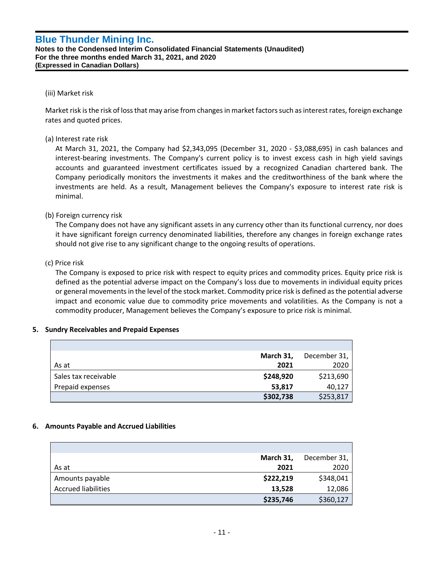**Notes to the Condensed Interim Consolidated Financial Statements (Unaudited) For the three months ended March 31, 2021, and 2020 (Expressed in Canadian Dollars)**

#### (iii) Market risk

Market risk is the risk of loss that may arise from changes in market factors such as interest rates, foreign exchange rates and quoted prices.

### (a) Interest rate risk

At March 31, 2021, the Company had \$2,343,095 (December 31, 2020 - \$3,088,695) in cash balances and interest-bearing investments. The Company's current policy is to invest excess cash in high yield savings accounts and guaranteed investment certificates issued by a recognized Canadian chartered bank. The Company periodically monitors the investments it makes and the creditworthiness of the bank where the investments are held. As a result, Management believes the Company's exposure to interest rate risk is minimal.

# (b) Foreign currency risk

The Company does not have any significant assets in any currency other than its functional currency, nor does it have significant foreign currency denominated liabilities, therefore any changes in foreign exchange rates should not give rise to any significant change to the ongoing results of operations.

#### (c) Price risk

The Company is exposed to price risk with respect to equity prices and commodity prices. Equity price risk is defined as the potential adverse impact on the Company's loss due to movements in individual equity prices or general movements in the level of the stock market. Commodity price risk is defined as the potential adverse impact and economic value due to commodity price movements and volatilities. As the Company is not a commodity producer, Management believes the Company's exposure to price risk is minimal.

#### **5. Sundry Receivables and Prepaid Expenses**

|                      | March 31, | December 31, |
|----------------------|-----------|--------------|
| As at                | 2021      | 2020         |
| Sales tax receivable | \$248,920 | \$213,690    |
| Prepaid expenses     | 53,817    | 40,127       |
|                      | \$302,738 | \$253,817    |

#### **6. Amounts Payable and Accrued Liabilities**

|                            | March 31, | December 31, |
|----------------------------|-----------|--------------|
| As at                      | 2021      | 2020         |
| Amounts payable            | \$222,219 | \$348,041    |
| <b>Accrued liabilities</b> | 13,528    | 12,086       |
|                            | \$235,746 | \$360,127    |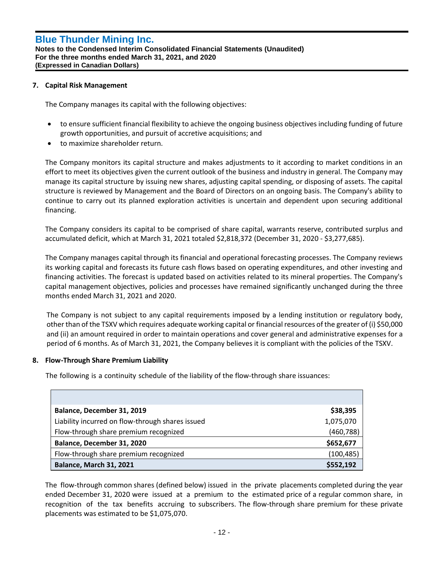### **7. Capital Risk Management**

The Company manages its capital with the following objectives:

- to ensure sufficient financial flexibility to achieve the ongoing business objectives including funding of future growth opportunities, and pursuit of accretive acquisitions; and
- to maximize shareholder return.

The Company monitors its capital structure and makes adjustments to it according to market conditions in an effort to meet its objectives given the current outlook of the business and industry in general. The Company may manage its capital structure by issuing new shares, adjusting capital spending, or disposing of assets. The capital structure is reviewed by Management and the Board of Directors on an ongoing basis. The Company's ability to continue to carry out its planned exploration activities is uncertain and dependent upon securing additional financing.

The Company considers its capital to be comprised of share capital, warrants reserve, contributed surplus and accumulated deficit, which at March 31, 2021 totaled \$2,818,372 (December 31, 2020 - \$3,277,685).

The Company manages capital through its financial and operational forecasting processes. The Company reviews its working capital and forecasts its future cash flows based on operating expenditures, and other investing and financing activities. The forecast is updated based on activities related to its mineral properties. The Company's capital management objectives, policies and processes have remained significantly unchanged during the three months ended March 31, 2021 and 2020.

The Company is not subject to any capital requirements imposed by a lending institution or regulatory body, other than of the TSXV which requires adequate working capital or financial resources of the greater of (i) \$50,000 and (ii) an amount required in order to maintain operations and cover general and administrative expenses for a period of 6 months. As of March 31, 2021, the Company believes it is compliant with the policies of the TSXV.

#### **8. Flow-Through Share Premium Liability**

The following is a continuity schedule of the liability of the flow-through share issuances:

| Balance, December 31, 2019                       | \$38,395   |
|--------------------------------------------------|------------|
| Liability incurred on flow-through shares issued | 1,075,070  |
| Flow-through share premium recognized            | (460, 788) |
| Balance, December 31, 2020                       | \$652,677  |
| Flow-through share premium recognized            | (100, 485) |
| <b>Balance, March 31, 2021</b>                   | \$552,192  |

The flow-through common shares (defined below) issued in the private placements completed during the year ended December 31, 2020 were issued at a premium to the estimated price of a regular common share, in recognition of the tax benefits accruing to subscribers. The flow-through share premium for these private placements was estimated to be \$1,075,070.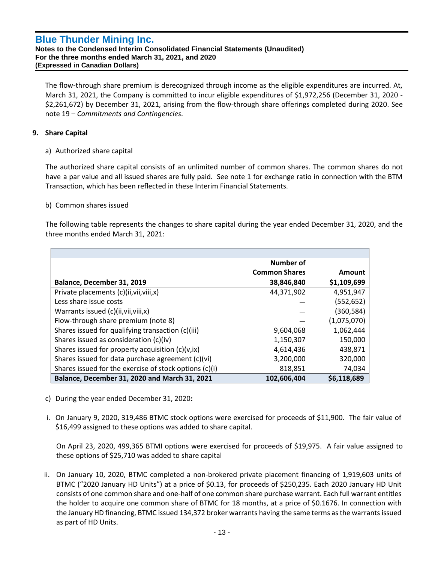**Notes to the Condensed Interim Consolidated Financial Statements (Unaudited) For the three months ended March 31, 2021, and 2020 (Expressed in Canadian Dollars)**

The flow-through share premium is derecognized through income as the eligible expenditures are incurred. At, March 31, 2021, the Company is committed to incur eligible expenditures of \$1,972,256 (December 31, 2020 - \$2,261,672) by December 31, 2021, arising from the flow-through share offerings completed during 2020. See note 19 – *Commitments and Contingencies.*

# **9. Share Capital**

a) Authorized share capital

The authorized share capital consists of an unlimited number of common shares. The common shares do not have a par value and all issued shares are fully paid. See note 1 for exchange ratio in connection with the BTM Transaction, which has been reflected in these Interim Financial Statements.

# b) Common shares issued

The following table represents the changes to share capital during the year ended December 31, 2020, and the three months ended March 31, 2021:

|                                                        | Number of            |             |
|--------------------------------------------------------|----------------------|-------------|
|                                                        | <b>Common Shares</b> | Amount      |
| Balance, December 31, 2019                             | 38,846,840           | \$1,109,699 |
| Private placements (c)(ii, vii, viii, x)               | 44,371,902           | 4,951,947   |
| Less share issue costs                                 |                      | (552, 652)  |
| Warrants issued (c)(ii, vii, viii, x)                  |                      | (360,584)   |
| Flow-through share premium (note 8)                    |                      | (1,075,070) |
| Shares issued for qualifying transaction (c)(iii)      | 9,604,068            | 1,062,444   |
| Shares issued as consideration (c)(iv)                 | 1,150,307            | 150,000     |
| Shares issued for property acquisition $(c)(v, ix)$    | 4,614,436            | 438,871     |
| Shares issued for data purchase agreement (c)(vi)      | 3,200,000            | 320,000     |
| Shares issued for the exercise of stock options (c)(i) | 818,851              | 74,034      |
| Balance, December 31, 2020 and March 31, 2021          | 102,606,404          | \$6,118,689 |

- c) During the year ended December 31, 2020**:**
- i. On January 9, 2020, 319,486 BTMC stock options were exercised for proceeds of \$11,900. The fair value of \$16,499 assigned to these options was added to share capital.

On April 23, 2020, 499,365 BTMI options were exercised for proceeds of \$19,975. A fair value assigned to these options of \$25,710 was added to share capital

ii. On January 10, 2020, BTMC completed a non-brokered private placement financing of 1,919,603 units of BTMC ("2020 January HD Units") at a price of \$0.13, for proceeds of \$250,235. Each 2020 January HD Unit consists of one common share and one-half of one common share purchase warrant. Each full warrant entitles the holder to acquire one common share of BTMC for 18 months, at a price of \$0.1676. In connection with the January HD financing, BTMC issued 134,372 broker warrants having the same terms as the warrants issued as part of HD Units.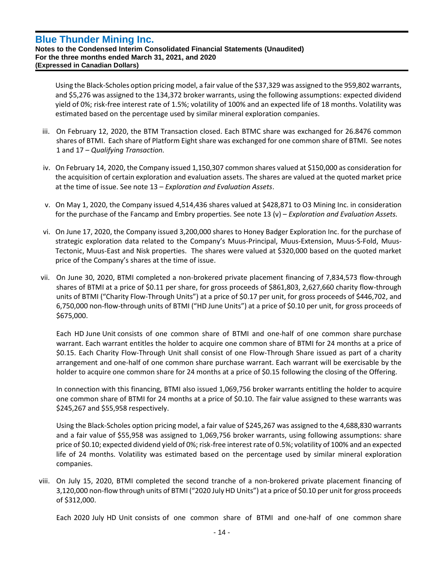**Notes to the Condensed Interim Consolidated Financial Statements (Unaudited) For the three months ended March 31, 2021, and 2020 (Expressed in Canadian Dollars)**

Using the Black-Scholes option pricing model, a fair value of the \$37,329 was assigned to the 959,802 warrants, and \$5,276 was assigned to the 134,372 broker warrants, using the following assumptions: expected dividend yield of 0%; risk-free interest rate of 1.5%; volatility of 100% and an expected life of 18 months. Volatility was estimated based on the percentage used by similar mineral exploration companies.

- iii. On February 12, 2020, the BTM Transaction closed. Each BTMC share was exchanged for 26.8476 common shares of BTMI. Each share of Platform Eight share was exchanged for one common share of BTMI. See notes 1 and 17 – *Qualifying Transaction.*
- iv. On February 14, 2020, the Company issued 1,150,307 common shares valued at \$150,000 as consideration for the acquisition of certain exploration and evaluation assets. The shares are valued at the quoted market price at the time of issue. See note 13 – *Exploration and Evaluation Assets*.
- v. On May 1, 2020, the Company issued 4,514,436 shares valued at \$428,871 to O3 Mining Inc. in consideration for the purchase of the Fancamp and Embry properties. See note 13 (v) – *Exploration and Evaluation Assets.*
- vi. On June 17, 2020, the Company issued 3,200,000 shares to Honey Badger Exploration Inc. for the purchase of strategic exploration data related to the Company's Muus-Principal, Muus-Extension, Muus-S-Fold, Muus-Tectonic, Muus-East and Nisk properties. The shares were valued at \$320,000 based on the quoted market price of the Company's shares at the time of issue.
- vii. On June 30, 2020, BTMI completed a non-brokered private placement financing of 7,834,573 flow-through shares of BTMI at a price of \$0.11 per share, for gross proceeds of \$861,803, 2,627,660 charity flow-through units of BTMI ("Charity Flow-Through Units") at a price of \$0.17 per unit, for gross proceeds of \$446,702, and 6,750,000 non-flow-through units of BTMI ("HD June Units") at a price of \$0.10 per unit, for gross proceeds of \$675,000.

Each HD June Unit consists of one common share of BTMI and one-half of one common share purchase warrant. Each warrant entitles the holder to acquire one common share of BTMI for 24 months at a price of \$0.15. Each Charity Flow-Through Unit shall consist of one Flow-Through Share issued as part of a charity arrangement and one-half of one common share purchase warrant. Each warrant will be exercisable by the holder to acquire one common share for 24 months at a price of \$0.15 following the closing of the Offering.

In connection with this financing, BTMI also issued 1,069,756 broker warrants entitling the holder to acquire one common share of BTMI for 24 months at a price of \$0.10. The fair value assigned to these warrants was \$245,267 and \$55,958 respectively.

Using the Black-Scholes option pricing model, a fair value of \$245,267 was assigned to the 4,688,830 warrants and a fair value of \$55,958 was assigned to 1,069,756 broker warrants, using following assumptions: share price of \$0.10; expected dividend yield of 0%; risk-free interest rate of 0.5%; volatility of 100% and an expected life of 24 months. Volatility was estimated based on the percentage used by similar mineral exploration companies.

viii. On July 15, 2020, BTMI completed the second tranche of a non-brokered private placement financing of 3,120,000 non-flow through units of BTMI ("2020 July HD Units") at a price of \$0.10 per unit for gross proceeds of \$312,000.

Each 2020 July HD Unit consists of one common share of BTMI and one-half of one common share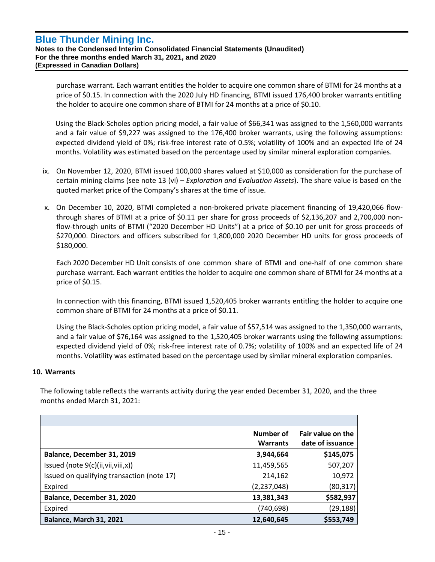**Notes to the Condensed Interim Consolidated Financial Statements (Unaudited) For the three months ended March 31, 2021, and 2020 (Expressed in Canadian Dollars)**

purchase warrant. Each warrant entitles the holder to acquire one common share of BTMI for 24 months at a price of \$0.15. In connection with the 2020 July HD financing, BTMI issued 176,400 broker warrants entitling the holder to acquire one common share of BTMI for 24 months at a price of \$0.10.

Using the Black-Scholes option pricing model, a fair value of \$66,341 was assigned to the 1,560,000 warrants and a fair value of \$9,227 was assigned to the 176,400 broker warrants, using the following assumptions: expected dividend yield of 0%; risk-free interest rate of 0.5%; volatility of 100% and an expected life of 24 months. Volatility was estimated based on the percentage used by similar mineral exploration companies.

- ix. On November 12, 2020, BTMI issued 100,000 shares valued at \$10,000 as consideration for the purchase of certain mining claims (see note 13 (vi) – *Exploration and Evaluation Assets*). The share value is based on the quoted market price of the Company's shares at the time of issue.
- x. On December 10, 2020, BTMI completed a non-brokered private placement financing of 19,420,066 flowthrough shares of BTMI at a price of \$0.11 per share for gross proceeds of \$2,136,207 and 2,700,000 nonflow-through units of BTMI ("2020 December HD Units") at a price of \$0.10 per unit for gross proceeds of \$270,000. Directors and officers subscribed for 1,800,000 2020 December HD units for gross proceeds of \$180,000.

Each 2020 December HD Unit consists of one common share of BTMI and one-half of one common share purchase warrant. Each warrant entitles the holder to acquire one common share of BTMI for 24 months at a price of \$0.15.

In connection with this financing, BTMI issued 1,520,405 broker warrants entitling the holder to acquire one common share of BTMI for 24 months at a price of \$0.11.

Using the Black-Scholes option pricing model, a fair value of \$57,514 was assigned to the 1,350,000 warrants, and a fair value of \$76,164 was assigned to the 1,520,405 broker warrants using the following assumptions: expected dividend yield of 0%; risk-free interest rate of 0.7%; volatility of 100% and an expected life of 24 months. Volatility was estimated based on the percentage used by similar mineral exploration companies.

# **10. Warrants**

The following table reflects the warrants activity during the year ended December 31, 2020, and the three months ended March 31, 2021:

|                                            | Number of<br><b>Warrants</b> | Fair value on the<br>date of issuance |
|--------------------------------------------|------------------------------|---------------------------------------|
| Balance, December 31, 2019                 | 3,944,664                    | \$145,075                             |
| Issued (note $9(c)$ (ii, vii, viii, x))    | 11,459,565                   | 507,207                               |
| Issued on qualifying transaction (note 17) | 214,162                      | 10,972                                |
| Expired                                    | (2, 237, 048)                | (80, 317)                             |
| Balance, December 31, 2020                 | 13,381,343                   | \$582,937                             |
| Expired                                    | (740, 698)                   | (29, 188)                             |
| <b>Balance, March 31, 2021</b>             | 12,640,645                   | \$553,749                             |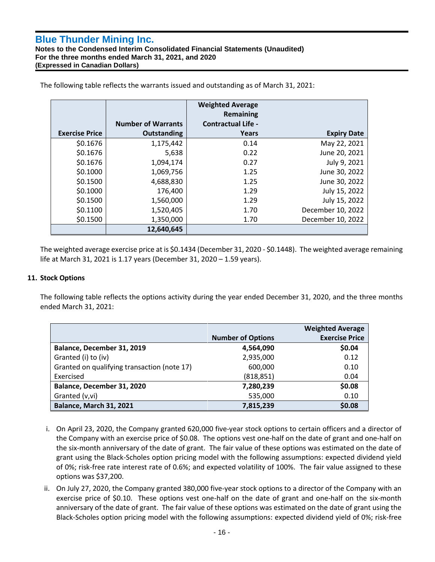**Notes to the Condensed Interim Consolidated Financial Statements (Unaudited) For the three months ended March 31, 2021, and 2020 (Expressed in Canadian Dollars)**

|                       |                           | <b>Weighted Average</b><br>Remaining |                    |
|-----------------------|---------------------------|--------------------------------------|--------------------|
|                       | <b>Number of Warrants</b> | <b>Contractual Life -</b>            |                    |
| <b>Exercise Price</b> | <b>Outstanding</b>        | Years                                | <b>Expiry Date</b> |
| \$0.1676              | 1,175,442                 | 0.14                                 | May 22, 2021       |
| \$0.1676              | 5,638                     | 0.22                                 | June 20, 2021      |
| \$0.1676              | 1,094,174                 | 0.27                                 | July 9, 2021       |
| \$0.1000              | 1,069,756                 | 1.25                                 | June 30, 2022      |
| \$0.1500              | 4,688,830                 | 1.25                                 | June 30, 2022      |
| \$0.1000              | 176,400                   | 1.29                                 | July 15, 2022      |
| \$0.1500              | 1,560,000                 | 1.29                                 | July 15, 2022      |
| \$0.1100              | 1,520,405                 | 1.70                                 | December 10, 2022  |
| \$0.1500              | 1,350,000                 | 1.70                                 | December 10, 2022  |
|                       | 12,640,645                |                                      |                    |

The following table reflects the warrants issued and outstanding as of March 31, 2021:

The weighted average exercise price at is \$0.1434 (December 31, 2020 - \$0.1448). The weighted average remaining life at March 31, 2021 is 1.17 years (December 31, 2020 – 1.59 years).

### **11. Stock Options**

The following table reflects the options activity during the year ended December 31, 2020, and the three months ended March 31, 2021:

|                                             |                          | <b>Weighted Average</b> |
|---------------------------------------------|--------------------------|-------------------------|
|                                             | <b>Number of Options</b> | <b>Exercise Price</b>   |
| Balance, December 31, 2019                  | 4,564,090                | \$0.04                  |
| Granted (i) to (iv)                         | 2,935,000                | 0.12                    |
| Granted on qualifying transaction (note 17) | 600,000                  | 0.10                    |
| Exercised                                   | (818, 851)               | 0.04                    |
| Balance, December 31, 2020                  | 7,280,239                | \$0.08                  |
| Granted (v,vi)                              | 535,000                  | 0.10                    |
| Balance, March 31, 2021                     | 7,815,239                | \$0.08                  |

- i. On April 23, 2020, the Company granted 620,000 five-year stock options to certain officers and a director of the Company with an exercise price of \$0.08. The options vest one-half on the date of grant and one-half on the six-month anniversary of the date of grant. The fair value of these options was estimated on the date of grant using the Black-Scholes option pricing model with the following assumptions: expected dividend yield of 0%; risk-free rate interest rate of 0.6%; and expected volatility of 100%. The fair value assigned to these options was \$37,200.
- ii. On July 27, 2020, the Company granted 380,000 five-year stock options to a director of the Company with an exercise price of \$0.10. These options vest one-half on the date of grant and one-half on the six-month anniversary of the date of grant. The fair value of these options was estimated on the date of grant using the Black-Scholes option pricing model with the following assumptions: expected dividend yield of 0%; risk-free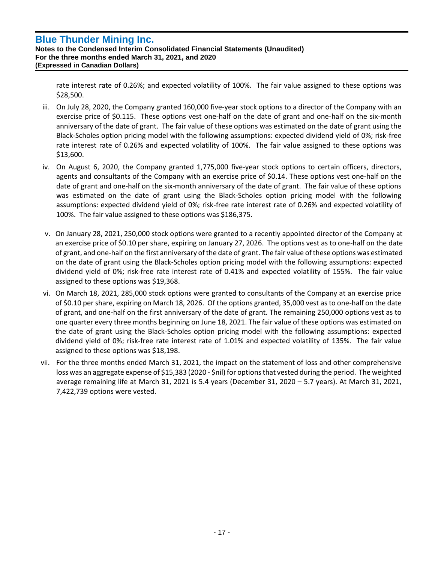**Notes to the Condensed Interim Consolidated Financial Statements (Unaudited) For the three months ended March 31, 2021, and 2020 (Expressed in Canadian Dollars)**

rate interest rate of 0.26%; and expected volatility of 100%. The fair value assigned to these options was \$28,500.

- iii. On July 28, 2020, the Company granted 160,000 five-year stock options to a director of the Company with an exercise price of \$0.115. These options vest one-half on the date of grant and one-half on the six-month anniversary of the date of grant. The fair value of these options was estimated on the date of grant using the Black-Scholes option pricing model with the following assumptions: expected dividend yield of 0%; risk-free rate interest rate of 0.26% and expected volatility of 100%. The fair value assigned to these options was \$13,600.
- iv. On August 6, 2020, the Company granted 1,775,000 five-year stock options to certain officers, directors, agents and consultants of the Company with an exercise price of \$0.14. These options vest one-half on the date of grant and one-half on the six-month anniversary of the date of grant. The fair value of these options was estimated on the date of grant using the Black-Scholes option pricing model with the following assumptions: expected dividend yield of 0%; risk-free rate interest rate of 0.26% and expected volatility of 100%. The fair value assigned to these options was \$186,375.
- v. On January 28, 2021, 250,000 stock options were granted to a recently appointed director of the Company at an exercise price of \$0.10 per share, expiring on January 27, 2026. The options vest as to one-half on the date of grant, and one-half on the first anniversary of the date of grant. The fair value of these options was estimated on the date of grant using the Black-Scholes option pricing model with the following assumptions: expected dividend yield of 0%; risk-free rate interest rate of 0.41% and expected volatility of 155%. The fair value assigned to these options was \$19,368.
- vi. On March 18, 2021, 285,000 stock options were granted to consultants of the Company at an exercise price of \$0.10 per share, expiring on March 18, 2026. Of the options granted, 35,000 vest as to one-half on the date of grant, and one-half on the first anniversary of the date of grant. The remaining 250,000 options vest as to one quarter every three months beginning on June 18, 2021. The fair value of these options was estimated on the date of grant using the Black-Scholes option pricing model with the following assumptions: expected dividend yield of 0%; risk-free rate interest rate of 1.01% and expected volatility of 135%. The fair value assigned to these options was \$18,198.
- vii. For the three months ended March 31, 2021, the impact on the statement of loss and other comprehensive loss was an aggregate expense of \$15,383 (2020 - \$nil) for options that vested during the period. The weighted average remaining life at March 31, 2021 is 5.4 years (December 31, 2020 – 5.7 years). At March 31, 2021, 7,422,739 options were vested.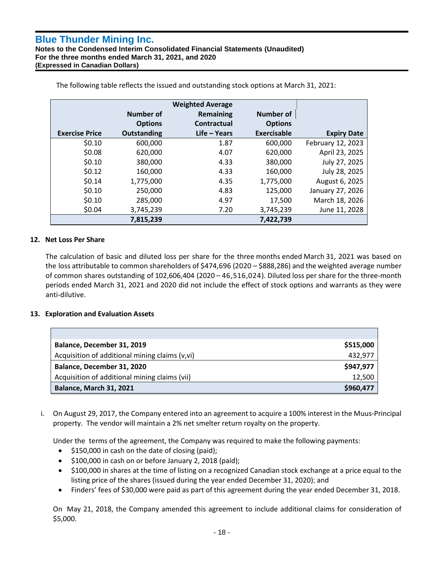**Notes to the Condensed Interim Consolidated Financial Statements (Unaudited) For the three months ended March 31, 2021, and 2020 (Expressed in Canadian Dollars)**

|                       |                    | <b>Weighted Average</b> |                    |                    |
|-----------------------|--------------------|-------------------------|--------------------|--------------------|
|                       | Number of          | <b>Remaining</b>        | <b>Number of</b>   |                    |
|                       | <b>Options</b>     | Contractual             | <b>Options</b>     |                    |
| <b>Exercise Price</b> | <b>Outstanding</b> | $Life - Years$          | <b>Exercisable</b> | <b>Expiry Date</b> |
| \$0.10                | 600,000            | 1.87                    | 600,000            | February 12, 2023  |
| \$0.08                | 620,000            | 4.07                    | 620,000            | April 23, 2025     |
| \$0.10                | 380,000            | 4.33                    | 380,000            | July 27, 2025      |
| \$0.12                | 160,000            | 4.33                    | 160,000            | July 28, 2025      |
| \$0.14                | 1,775,000          | 4.35                    | 1,775,000          | August 6, 2025     |
| \$0.10                | 250,000            | 4.83                    | 125,000            | January 27, 2026   |
| \$0.10                | 285,000            | 4.97                    | 17,500             | March 18, 2026     |
| \$0.04                | 3,745,239          | 7.20                    | 3,745,239          | June 11, 2028      |
|                       | 7,815,239          |                         | 7,422,739          |                    |

The following table reflects the issued and outstanding stock options at March 31, 2021:

# **12. Net Loss Per Share**

The calculation of basic and diluted loss per share for the three months ended March 31, 2021 was based on the loss attributable to common shareholders of \$474,696 (2020 – \$888,286) and the weighted average number of common shares outstanding of 102,606,404 (2020 – 46,516,024). Diluted loss per share for the three-month periods ended March 31, 2021 and 2020 did not include the effect of stock options and warrants as they were anti-dilutive.

# **13. Exploration and Evaluation Assets**

| Balance, December 31, 2019                     | \$515,000 |
|------------------------------------------------|-----------|
| Acquisition of additional mining claims (v,vi) | 432,977   |
| Balance, December 31, 2020                     | \$947,977 |
| Acquisition of additional mining claims (vii)  | 12,500    |
| <b>Balance, March 31, 2021</b>                 | \$960,477 |

i. On August 29, 2017, the Company entered into an agreement to acquire a 100% interest in the Muus-Principal property. The vendor will maintain a 2% net smelter return royalty on the property.

Under the terms of the agreement, the Company was required to make the following payments:

- \$150,000 in cash on the date of closing (paid);
- \$100,000 in cash on or before January 2, 2018 (paid);
- \$100,000 in shares at the time of listing on a recognized Canadian stock exchange at a price equal to the listing price of the shares (issued during the year ended December 31, 2020); and
- Finders' fees of \$30,000 were paid as part of this agreement during the year ended December 31, 2018.

On May 21, 2018, the Company amended this agreement to include additional claims for consideration of \$5,000.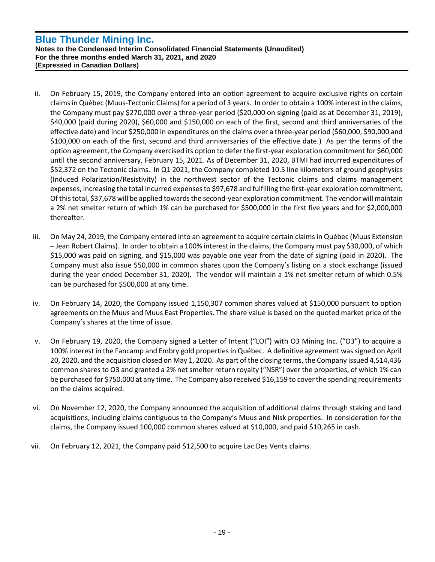- ii. On February 15, 2019, the Company entered into an option agreement to acquire exclusive rights on certain claims in Québec (Muus-Tectonic Claims) for a period of 3 years. In order to obtain a 100% interest in the claims, the Company must pay \$270,000 over a three-year period (\$20,000 on signing (paid as at December 31, 2019), \$40,000 (paid during 2020), \$60,000 and \$150,000 on each of the first, second and third anniversaries of the effective date) and incur \$250,000 in expenditures on the claims over a three-year period (\$60,000, \$90,000 and \$100,000 on each of the first, second and third anniversaries of the effective date.) As per the terms of the option agreement, the Company exercised its option to defer the first-year exploration commitment for \$60,000 until the second anniversary, February 15, 2021. As of December 31, 2020, BTMI had incurred expenditures of \$52,372 on the Tectonic claims. In Q1 2021, the Company completed 10.5 line kilometers of ground geophysics (Induced Polarization/Resistivity) in the northwest sector of the Tectonic claims and claims management expenses, increasing the total incurred expenses to \$97,678 and fulfilling the first-year exploration commitment. Of this total, \$37,678 will be applied towards the second-year exploration commitment. The vendor will maintain a 2% net smelter return of which 1% can be purchased for \$500,000 in the first five years and for \$2,000,000 thereafter.
- iii. On May 24, 2019, the Company entered into an agreement to acquire certain claims in Québec (Muus Extension – Jean Robert Claims). In order to obtain a 100% interest in the claims, the Company must pay \$30,000, of which \$15,000 was paid on signing, and \$15,000 was payable one year from the date of signing (paid in 2020). The Company must also issue \$50,000 in common shares upon the Company's listing on a stock exchange (issued during the year ended December 31, 2020). The vendor will maintain a 1% net smelter return of which 0.5% can be purchased for \$500,000 at any time.
- iv. On February 14, 2020, the Company issued 1,150,307 common shares valued at \$150,000 pursuant to option agreements on the Muus and Muus East Properties. The share value is based on the quoted market price of the Company's shares at the time of issue.
- v. On February 19, 2020, the Company signed a Letter of Intent ("LOI") with O3 Mining Inc. ("O3") to acquire a 100% interest in the Fancamp and Embry gold properties in Québec. A definitive agreement was signed on April 20, 2020, and the acquisition closed on May 1, 2020. As part of the closing terms, the Company issued 4,514,436 common shares to O3 and granted a 2% net smelter return royalty ("NSR") over the properties, of which 1% can be purchased for \$750,000 at any time. The Company also received \$16,159 to cover the spending requirements on the claims acquired.
- vi. On November 12, 2020, the Company announced the acquisition of additional claims through staking and land acquisitions, including claims contiguous to the Company's Muus and Nisk properties. In consideration for the claims, the Company issued 100,000 common shares valued at \$10,000, and paid \$10,265 in cash.
- vii. On February 12, 2021, the Company paid \$12,500 to acquire Lac Des Vents claims.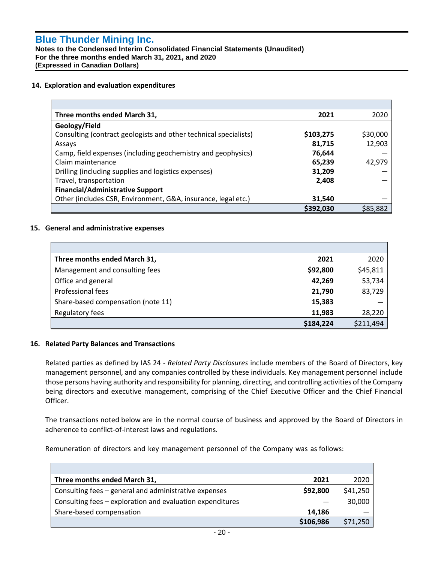**Notes to the Condensed Interim Consolidated Financial Statements (Unaudited) For the three months ended March 31, 2021, and 2020 (Expressed in Canadian Dollars)**

#### **14. Exploration and evaluation expenditures**

| Three months ended March 31,                                     | 2021      | 2020     |
|------------------------------------------------------------------|-----------|----------|
| Geology/Field                                                    |           |          |
| Consulting (contract geologists and other technical specialists) | \$103,275 | \$30,000 |
| Assays                                                           | 81,715    | 12,903   |
| Camp, field expenses (including geochemistry and geophysics)     | 76,644    |          |
| Claim maintenance                                                | 65,239    | 42,979   |
| Drilling (including supplies and logistics expenses)             | 31,209    |          |
| Travel, transportation                                           | 2,408     |          |
| <b>Financial/Administrative Support</b>                          |           |          |
| Other (includes CSR, Environment, G&A, insurance, legal etc.)    | 31,540    |          |
|                                                                  | \$392,030 | \$85.882 |

#### **15. General and administrative expenses**

| Three months ended March 31,       | 2021      | 2020      |
|------------------------------------|-----------|-----------|
| Management and consulting fees     | \$92,800  | \$45,811  |
| Office and general                 | 42,269    | 53,734    |
| Professional fees                  | 21,790    | 83,729    |
| Share-based compensation (note 11) | 15,383    |           |
| Regulatory fees                    | 11,983    | 28,220    |
|                                    | \$184,224 | \$211,494 |

#### **16. Related Party Balances and Transactions**

Related parties as defined by IAS 24 - *Related Party Disclosures* include members of the Board of Directors, key management personnel, and any companies controlled by these individuals. Key management personnel include those persons having authority and responsibility for planning, directing, and controlling activities of the Company being directors and executive management, comprising of the Chief Executive Officer and the Chief Financial Officer.

The transactions noted below are in the normal course of business and approved by the Board of Directors in adherence to conflict-of-interest laws and regulations.

Remuneration of directors and key management personnel of the Company was as follows:

| Three months ended March 31,                              | 2021      | 2020     |
|-----------------------------------------------------------|-----------|----------|
| Consulting fees - general and administrative expenses     | \$92,800  | \$41,250 |
| Consulting fees – exploration and evaluation expenditures |           | 30,000   |
| Share-based compensation                                  | 14,186    |          |
|                                                           | \$106,986 | \$71.250 |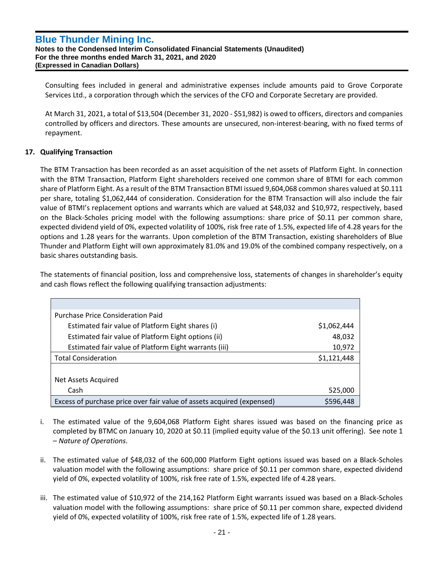**Notes to the Condensed Interim Consolidated Financial Statements (Unaudited) For the three months ended March 31, 2021, and 2020 (Expressed in Canadian Dollars)**

Consulting fees included in general and administrative expenses include amounts paid to Grove Corporate Services Ltd., a corporation through which the services of the CFO and Corporate Secretary are provided.

At March 31, 2021, a total of \$13,504 (December 31, 2020 - \$51,982) is owed to officers, directors and companies controlled by officers and directors. These amounts are unsecured, non-interest-bearing, with no fixed terms of repayment.

# **17. Qualifying Transaction**

The BTM Transaction has been recorded as an asset acquisition of the net assets of Platform Eight. In connection with the BTM Transaction, Platform Eight shareholders received one common share of BTMI for each common share of Platform Eight. As a result of the BTM Transaction BTMI issued 9,604,068 common shares valued at \$0.111 per share, totaling \$1,062,444 of consideration. Consideration for the BTM Transaction will also include the fair value of BTMI's replacement options and warrants which are valued at \$48,032 and \$10,972, respectively, based on the Black-Scholes pricing model with the following assumptions: share price of \$0.11 per common share, expected dividend yield of 0%, expected volatility of 100%, risk free rate of 1.5%, expected life of 4.28 years for the options and 1.28 years for the warrants. Upon completion of the BTM Transaction, existing shareholders of Blue Thunder and Platform Eight will own approximately 81.0% and 19.0% of the combined company respectively, on a basic shares outstanding basis.

The statements of financial position, loss and comprehensive loss, statements of changes in shareholder's equity and cash flows reflect the following qualifying transaction adjustments:

| Purchase Price Consideration Paid                                      |             |
|------------------------------------------------------------------------|-------------|
| Estimated fair value of Platform Eight shares (i)                      | \$1,062,444 |
| Estimated fair value of Platform Eight options (ii)                    | 48,032      |
| Estimated fair value of Platform Eight warrants (iii)                  | 10,972      |
| <b>Total Consideration</b>                                             | \$1,121,448 |
|                                                                        |             |
| Net Assets Acquired                                                    |             |
| Cash                                                                   | 525,000     |
| Excess of purchase price over fair value of assets acquired (expensed) | \$596,448   |

- i. The estimated value of the 9,604,068 Platform Eight shares issued was based on the financing price as completed by BTMC on January 10, 2020 at \$0.11 (implied equity value of the \$0.13 unit offering). See note 1 – *Nature of Operations*.
- ii. The estimated value of \$48,032 of the 600,000 Platform Eight options issued was based on a Black-Scholes valuation model with the following assumptions: share price of \$0.11 per common share, expected dividend yield of 0%, expected volatility of 100%, risk free rate of 1.5%, expected life of 4.28 years.
- iii. The estimated value of \$10,972 of the 214,162 Platform Eight warrants issued was based on a Black-Scholes valuation model with the following assumptions: share price of \$0.11 per common share, expected dividend yield of 0%, expected volatility of 100%, risk free rate of 1.5%, expected life of 1.28 years.